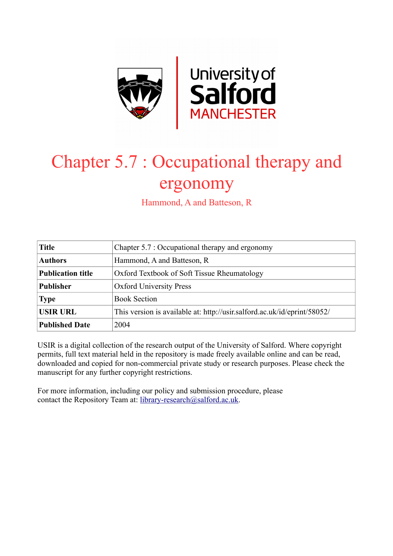

# Chapter 5.7 : Occupational therapy and ergonomy

Hammond, A and Batteson, R

| <b>Title</b>             | Chapter 5.7 : Occupational therapy and ergonomy                          |  |
|--------------------------|--------------------------------------------------------------------------|--|
| <b>Authors</b>           | Hammond, A and Batteson, R                                               |  |
| <b>Publication title</b> | Oxford Textbook of Soft Tissue Rheumatology                              |  |
| <b>Publisher</b>         | <b>Oxford University Press</b>                                           |  |
| <b>Type</b>              | <b>Book Section</b>                                                      |  |
| <b>USIR URL</b>          | This version is available at: http://usir.salford.ac.uk/id/eprint/58052/ |  |
| <b>Published Date</b>    | 2004                                                                     |  |

USIR is a digital collection of the research output of the University of Salford. Where copyright permits, full text material held in the repository is made freely available online and can be read, downloaded and copied for non-commercial private study or research purposes. Please check the manuscript for any further copyright restrictions.

For more information, including our policy and submission procedure, please contact the Repository Team at: [library-research@salford.ac.uk.](mailto:library-research@salford.ac.uk)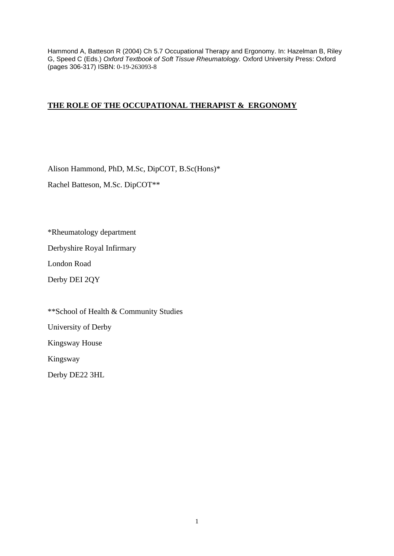Hammond A, Batteson R (2004) Ch 5.7 Occupational Therapy and Ergonomy. In: Hazelman B, Riley G, Speed C (Eds.) *Oxford Textbook of Soft Tissue Rheumatology.* Oxford University Press: Oxford (pages 306-317) ISBN: 0-19-263093-8

# **THE ROLE OF THE OCCUPATIONAL THERAPIST & ERGONOMY**

Alison Hammond, PhD, M.Sc, DipCOT, B.Sc(Hons)\*

Rachel Batteson, M.Sc. DipCOT\*\*

\*Rheumatology department

Derbyshire Royal Infirmary

London Road

Derby DEI 2QY

\*\*School of Health & Community Studies

University of Derby

Kingsway House

Kingsway

Derby DE22 3HL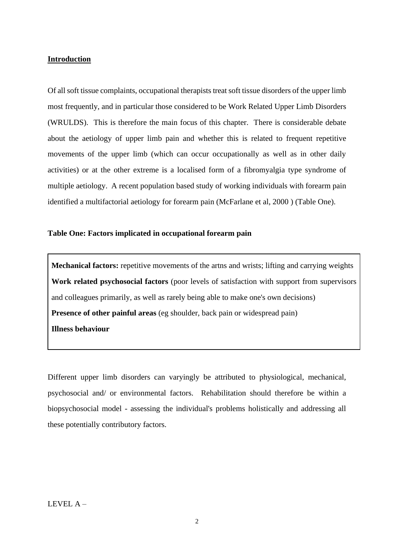#### **Introduction**

Of all soft tissue complaints, occupational therapists treat soft tissue disorders of the upper limb most frequently, and in particular those considered to be Work Related Upper Limb Disorders (WRULDS). This is therefore the main focus of this chapter. There is considerable debate about the aetiology of upper limb pain and whether this is related to frequent repetitive movements of the upper limb (which can occur occupationally as well as in other daily activities) or at the other extreme is a localised form of a fibromyalgia type syndrome of multiple aetiology. A recent population based study of working individuals with forearm pain identified a multifactorial aetiology for forearm pain (McFarlane et al, 2000 ) (Table One).

## **Table One: Factors implicated in occupational forearm pain**

**Mechanical factors:** repetitive movements of the artns and wrists; lifting and carrying weights **Work related psychosocial factors** (poor levels of satisfaction with support from supervisors and colleagues primarily, as well as rarely being able to make one's own decisions) **Presence of other painful areas** (eg shoulder, back pain or widespread pain) **Illness behaviour**

Different upper limb disorders can varyingly be attributed to physiological, mechanical, psychosocial and/ or environmental factors. Rehabilitation should therefore be within a biopsychosocial model - assessing the individual's problems holistically and addressing all these potentially contributory factors.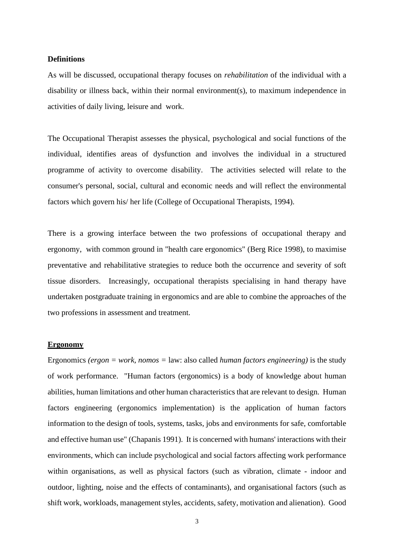#### **Definitions**

As will be discussed, occupational therapy focuses on *rehabilitation* of the individual with a disability or illness back, within their normal environment(s), to maximum independence in activities of daily living, leisure and work.

The Occupational Therapist assesses the physical, psychological and social functions of the individual, identifies areas of dysfunction and involves the individual in a structured programme of activity to overcome disability. The activities selected will relate to the consumer's personal, social, cultural and economic needs and will reflect the environmental factors which govern his/ her life (College of Occupational Therapists, 1994).

There is a growing interface between the two professions of occupational therapy and ergonomy, with common ground in "health care ergonomics" (Berg Rice 1998), to maximise preventative and rehabilitative strategies to reduce both the occurrence and severity of soft tissue disorders. Increasingly, occupational therapists specialising in hand therapy have undertaken postgraduate training in ergonomics and are able to combine the approaches of the two professions in assessment and treatment.

#### **Ergonomy**

Ergonomics *(ergon = work, nomos =* law: also called *human factors engineering)* is the study of work performance. "Human factors (ergonomics) is a body of knowledge about human abilities, human limitations and other human characteristics that are relevant to design. Human factors engineering (ergonomics implementation) is the application of human factors information to the design of tools, systems, tasks, jobs and environments for safe, comfortable and effective human use" (Chapanis 1991). It is concerned with humans' interactions with their environments, which can include psychological and social factors affecting work performance within organisations, as well as physical factors (such as vibration, climate - indoor and outdoor, lighting, noise and the effects of contaminants), and organisational factors (such as shift work, workloads, management styles, accidents, safety, motivation and alienation). Good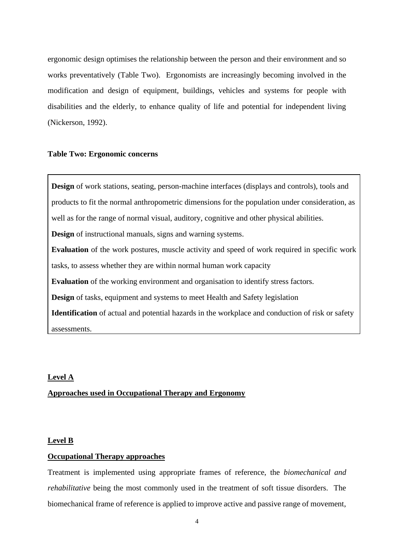ergonomic design optimises the relationship between the person and their environment and so works preventatively (Table Two). Ergonomists are increasingly becoming involved in the modification and design of equipment, buildings, vehicles and systems for people with disabilities and the elderly, to enhance quality of life and potential for independent living (Nickerson, 1992).

# **Table Two: Ergonomic concerns**

**Design** of work stations, seating, person-machine interfaces (displays and controls), tools and products to fit the normal anthropometric dimensions for the population under consideration, as well as for the range of normal visual, auditory, cognitive and other physical abilities. **Design** of instructional manuals, signs and warning systems. **Evaluation** of the work postures, muscle activity and speed of work required in specific work tasks, to assess whether they are within normal human work capacity **Evaluation** of the working environment and organisation to identify stress factors. **Design** of tasks, equipment and systems to meet Health and Safety legislation **Identification** of actual and potential hazards in the workplace and conduction of risk or safety assessments.

#### **Level A**

# **Approaches used in Occupational Therapy and Ergonomy**

#### **Level B**

# **Occupational Therapy approaches**

Treatment is implemented using appropriate frames of reference, the *biomechanical and rehabilitative* being the most commonly used in the treatment of soft tissue disorders. The biomechanical frame of reference is applied to improve active and passive range of movement,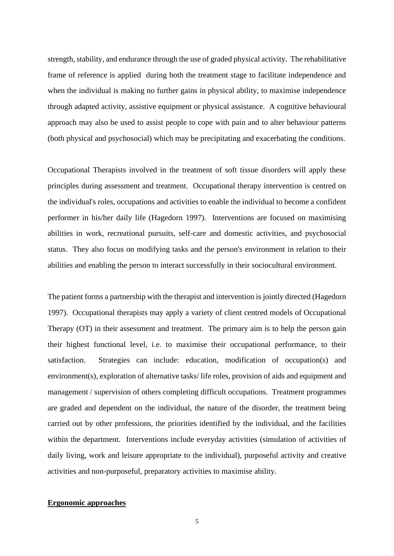strength, stability, and endurance through the use of graded physical activity. The rehabilitative frame of reference is applied during both the treatment stage to facilitate independence and when the individual is making no further gains in physical ability, to maximise independence through adapted activity, assistive equipment or physical assistance. A cognitive behavioural approach may also be used to assist people to cope with pain and to alter behaviour patterns (both physical and psychosocial) which may be precipitating and exacerbating the conditions.

Occupational Therapists involved in the treatment of soft tissue disorders will apply these principles during assessment and treatment. Occupational therapy intervention is centred on the individual's roles, occupations and activities to enable the individual to become a confident performer in his/her daily life (Hagedorn 1997). Interventions are focused on maximising abilities in work, recreational pursuits, self-care and domestic activities, and psychosocial status. They also focus on modifying tasks and the person's environment in relation to their abilities and enabling the person to interact successfully in their sociocultural environment.

The patient forms a partnership with the therapist and intervention is jointly directed (Hagedorn 1997). Occupational therapists may apply a variety of client centred models of Occupational Therapy (OT) in their assessment and treatment. The primary aim is to help the person gain their highest functional level, i.e. to maximise their occupational performance, to their satisfaction. Strategies can include: education, modification of occupation(s) and environment(s), exploration of alternative tasks/ life roles, provision of aids and equipment and management / supervision of others completing difficult occupations. Treatment programmes are graded and dependent on the individual, the nature of the disorder, the treatment being carried out by other professions, the priorities identified by the individual, and the facilities within the department. Interventions include everyday activities (simulation of activities of daily living, work and leisure appropriate to the individual), purposeful activity and creative activities and non-purposeful, preparatory activities to maximise ability.

# **Ergonomic approaches**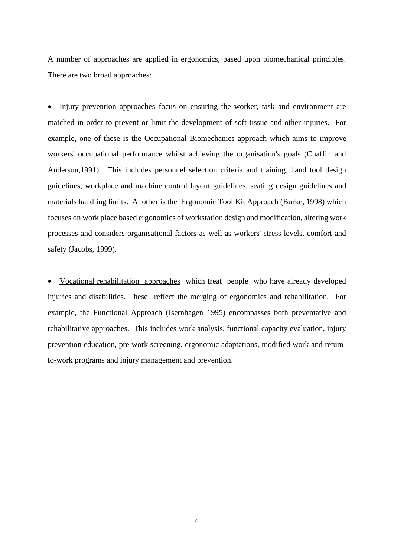A number of approaches are applied in ergonomics, based upon biomechanical principles. There are two broad approaches:

• Injury prevention approaches focus on ensuring the worker, task and environment are matched in order to prevent or limit the development of soft tissue and other injuries. For example, one of these is the Occupational Biomechanics approach which aims to improve workers' occupational performance whilst achieving the organisation's goals (Chaffin and Anderson,1991). This includes personnel selection criteria and training, hand tool design guidelines, workplace and machine control layout guidelines, seating design guidelines and materials handling limits. Another is the Ergonomic Tool Kit Approach (Burke, 1998) which focuses on work place based ergonomics of workstation design and modification, altering work processes and considers organisational factors as well as workers' stress levels, comfort and safety (Jacobs, 1999).

• Vocational rehabilitation approaches which treat people who have already developed injuries and disabilities. These reflect the merging of ergonomics and rehabilitation. For example, the Functional Approach (Isernhagen 1995) encompasses both preventative and rehabilitative approaches. This includes work analysis, functional capacity evaluation, injury prevention education, pre-work screening, ergonomic adaptations, modified work and retumto-work programs and injury management and prevention.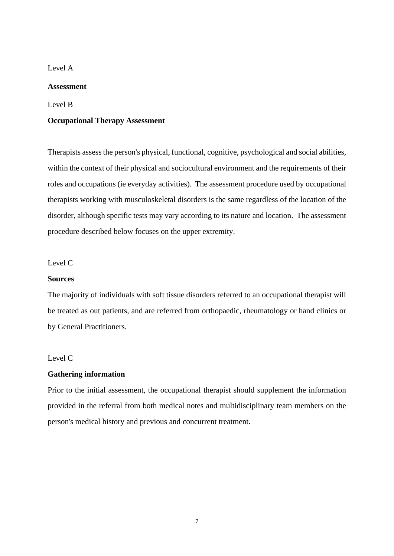# Level A

# **Assessment**

# Level B

#### **Occupational Therapy Assessment**

Therapists assess the person's physical, functional, cognitive, psychological and social abilities, within the context of their physical and sociocultural environment and the requirements of their roles and occupations (ie everyday activities). The assessment procedure used by occupational therapists working with musculoskeletal disorders is the same regardless of the location of the disorder, although specific tests may vary according to its nature and location. The assessment procedure described below focuses on the upper extremity.

# Level C

# **Sources**

The majority of individuals with soft tissue disorders referred to an occupational therapist will be treated as out patients, and are referred from orthopaedic, rheumatology or hand clinics or by General Practitioners.

# Level C

# **Gathering information**

Prior to the initial assessment, the occupational therapist should supplement the information provided in the referral from both medical notes and multidisciplinary team members on the person's medical history and previous and concurrent treatment.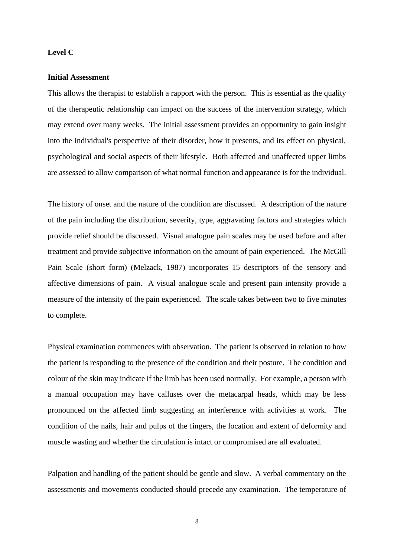## **Level C**

# **Initial Assessment**

This allows the therapist to establish a rapport with the person. This is essential as the quality of the therapeutic relationship can impact on the success of the intervention strategy, which may extend over many weeks. The initial assessment provides an opportunity to gain insight into the individual's perspective of their disorder, how it presents, and its effect on physical, psychological and social aspects of their lifestyle. Both affected and unaffected upper limbs are assessed to allow comparison of what normal function and appearance is for the individual.

The history of onset and the nature of the condition are discussed. A description of the nature of the pain including the distribution, severity, type, aggravating factors and strategies which provide relief should be discussed. Visual analogue pain scales may be used before and after treatment and provide subjective information on the amount of pain experienced. The McGill Pain Scale (short form) (Melzack, 1987) incorporates 15 descriptors of the sensory and affective dimensions of pain. A visual analogue scale and present pain intensity provide a measure of the intensity of the pain experienced. The scale takes between two to five minutes to complete.

Physical examination commences with observation. The patient is observed in relation to how the patient is responding to the presence of the condition and their posture. The condition and colour of the skin may indicate if the limb has been used normally. For example, a person with a manual occupation may have calluses over the metacarpal heads, which may be less pronounced on the affected limb suggesting an interference with activities at work. The condition of the nails, hair and pulps of the fingers, the location and extent of deformity and muscle wasting and whether the circulation is intact or compromised are all evaluated.

Palpation and handling of the patient should be gentle and slow. A verbal commentary on the assessments and movements conducted should precede any examination. The temperature of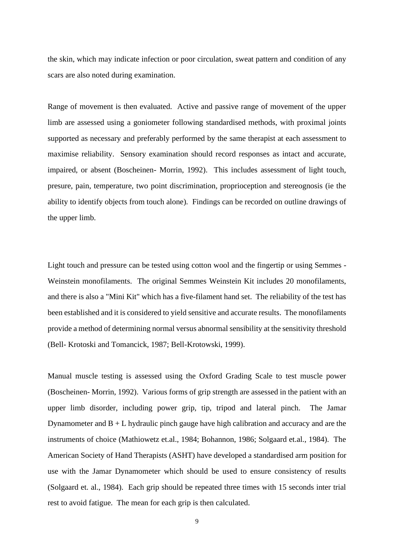the skin, which may indicate infection or poor circulation, sweat pattern and condition of any scars are also noted during examination.

Range of movement is then evaluated. Active and passive range of movement of the upper limb are assessed using a goniometer following standardised methods, with proximal joints supported as necessary and preferably performed by the same therapist at each assessment to maximise reliability. Sensory examination should record responses as intact and accurate, impaired, or absent (Boscheinen- Morrin, 1992). This includes assessment of light touch, presure, pain, temperature, two point discrimination, proprioception and stereognosis (ie the ability to identify objects from touch alone)*.* Findings can be recorded on outline drawings of the upper limb.

Light touch and pressure can be tested using cotton wool and the fingertip or using Semmes - Weinstein monofilaments. The original Semmes Weinstein Kit includes 20 monofilaments, and there is also a "Mini Kit" which has a five-filament hand set. The reliability of the test has been established and it is considered to yield sensitive and accurate results. The monofilaments provide a method of determining normal versus abnormal sensibility at the sensitivity threshold (Bell- Krotoski and Tomancick, 1987; Bell-Krotowski, 1999).

Manual muscle testing is assessed using the Oxford Grading Scale to test muscle power (Boscheinen- Morrin, 1992). Various forms of grip strength are assessed in the patient with an upper limb disorder, including power grip, tip, tripod and lateral pinch. The Jamar Dynamometer and  $B + L$  hydraulic pinch gauge have high calibration and accuracy and are the instruments of choice (Mathiowetz et.al., 1984; Bohannon, 1986; Solgaard et.al., 1984). The American Society of Hand Therapists (ASHT) have developed a standardised arm position for use with the Jamar Dynamometer which should be used to ensure consistency of results (Solgaard et. al., 1984). Each grip should be repeated three times with 15 seconds inter trial rest to avoid fatigue. The mean for each grip is then calculated.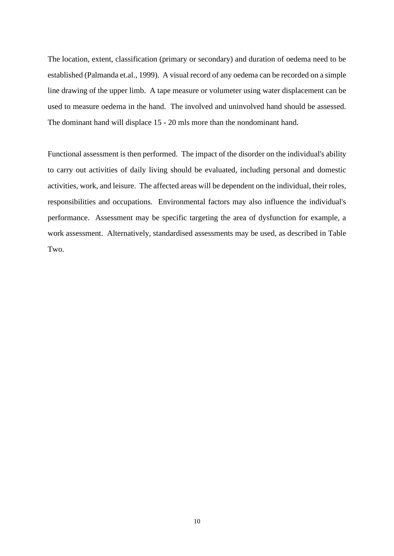The location, extent, classification (primary or secondary) and duration of oedema need to be established (Palmanda et.al., 1999). A visual record of any oedema can be recorded on a simple line drawing of the upper limb. A tape measure or volumeter using water displacement can be used to measure oedema in the hand. The involved and uninvolved hand should be assessed. The dominant hand will displace 15 - 20 mls more than the nondominant hand.

Functional assessment is then performed. The impact of the disorder on the individual's ability to carry out activities of daily living should be evaluated, including personal and domestic activities, work, and leisure. The affected areas will be dependent on the individual, their roles, responsibilities and occupations. Environmental factors may also influence the individual's performance. Assessment may be specific targeting the area of dysfunction for example, a work assessment. Alternatively, standardised assessments may be used, as described in Table Two.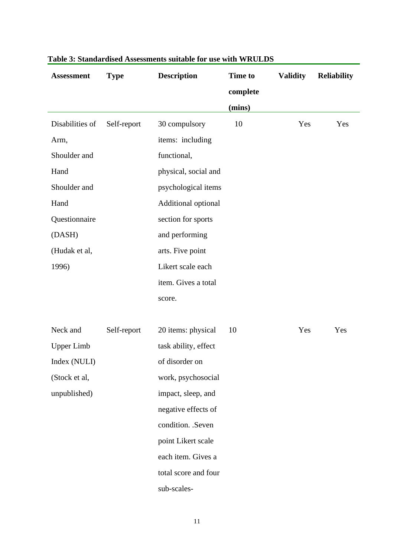| <b>Assessment</b> | <b>Type</b> | <b>Description</b>   | Time to  | <b>Validity</b> | <b>Reliability</b> |
|-------------------|-------------|----------------------|----------|-----------------|--------------------|
|                   |             |                      | complete |                 |                    |
|                   |             |                      | (mins)   |                 |                    |
| Disabilities of   | Self-report | 30 compulsory        | 10       | Yes             | Yes                |
| Arm,              |             | items: including     |          |                 |                    |
| Shoulder and      |             | functional,          |          |                 |                    |
| Hand              |             | physical, social and |          |                 |                    |
| Shoulder and      |             | psychological items  |          |                 |                    |
| Hand              |             | Additional optional  |          |                 |                    |
| Questionnaire     |             | section for sports   |          |                 |                    |
| (DASH)            |             | and performing       |          |                 |                    |
| (Hudak et al,     |             | arts. Five point     |          |                 |                    |
| 1996)             |             | Likert scale each    |          |                 |                    |
|                   |             | item. Gives a total  |          |                 |                    |
|                   |             | score.               |          |                 |                    |
|                   |             |                      |          |                 |                    |
| Neck and          | Self-report | 20 items: physical   | 10       | Yes             | Yes                |
| <b>Upper Limb</b> |             | task ability, effect |          |                 |                    |
| Index (NULI)      |             | of disorder on       |          |                 |                    |
| (Stock et al,     |             | work, psychosocial   |          |                 |                    |
| unpublished)      |             | impact, sleep, and   |          |                 |                    |
|                   |             | negative effects of  |          |                 |                    |
|                   |             | condition. .Seven    |          |                 |                    |
|                   |             | point Likert scale   |          |                 |                    |
|                   |             | each item. Gives a   |          |                 |                    |
|                   |             | total score and four |          |                 |                    |
|                   |             | sub-scales-          |          |                 |                    |

# **Table 3: Standardised Assessments suitable for use with WRULDS**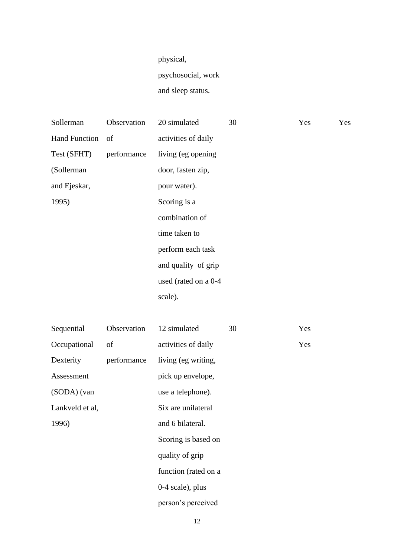# physical,

psychosocial, work

and sleep status.

| Sollerman            | Observation | 20 simulated         | 30 | Yes | Yes |
|----------------------|-------------|----------------------|----|-----|-----|
| <b>Hand Function</b> | - of        | activities of daily  |    |     |     |
| Test (SFHT)          | performance | living (eg opening   |    |     |     |
| (Sollerman           |             | door, fasten zip,    |    |     |     |
| and Ejeskar,         |             | pour water).         |    |     |     |
| 1995)                |             | Scoring is a         |    |     |     |
|                      |             | combination of       |    |     |     |
|                      |             | time taken to        |    |     |     |
|                      |             | perform each task    |    |     |     |
|                      |             | and quality of grip  |    |     |     |
|                      |             | used (rated on a 0-4 |    |     |     |
|                      |             | scale).              |    |     |     |
|                      |             |                      |    |     |     |

| Sequential      | Observation | 12 simulated         | 30 | Yes |
|-----------------|-------------|----------------------|----|-----|
| Occupational    | of          | activities of daily  |    | Yes |
| Dexterity       | performance | living (eg writing,  |    |     |
| Assessment      |             | pick up envelope,    |    |     |
| (SODA) (van     |             | use a telephone).    |    |     |
| Lankveld et al, |             | Six are unilateral   |    |     |
| 1996)           |             | and 6 bilateral.     |    |     |
|                 |             | Scoring is based on  |    |     |
|                 |             | quality of grip      |    |     |
|                 |             | function (rated on a |    |     |
|                 |             | $0-4$ scale), plus   |    |     |
|                 |             | person's perceived   |    |     |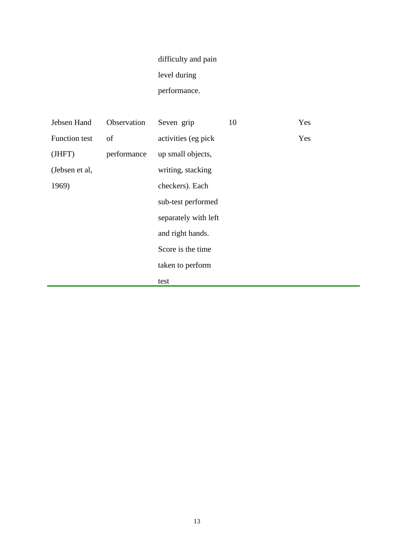# difficulty and pain level during performance.

| Jebsen Hand          | Observation | Seven grip           | 10 | Yes |
|----------------------|-------------|----------------------|----|-----|
| <b>Function test</b> | of          | activities (eg pick  |    | Yes |
| (JHFT)               | performance | up small objects,    |    |     |
| (Jebsen et al,       |             | writing, stacking    |    |     |
| 1969)                |             | checkers). Each      |    |     |
|                      |             | sub-test performed   |    |     |
|                      |             | separately with left |    |     |
|                      |             | and right hands.     |    |     |
|                      |             | Score is the time    |    |     |
|                      |             | taken to perform     |    |     |
|                      |             | test                 |    |     |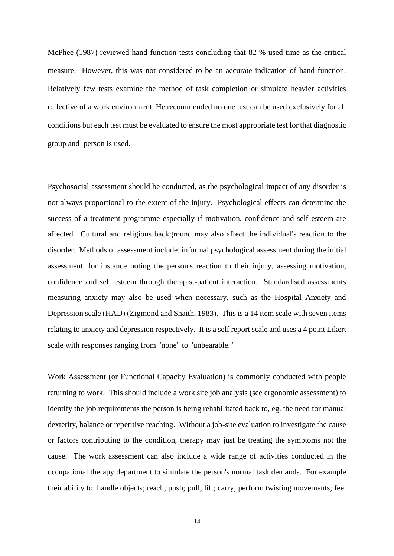McPhee (1987) reviewed hand function tests concluding that 82 % used time as the critical measure. However, this was not considered to be an accurate indication of hand function. Relatively few tests examine the method of task completion or simulate heavier activities reflective of a work environment. He recommended no one test can be used exclusively for all conditions but each test must be evaluated to ensure the most appropriate test for that diagnostic group and person is used.

Psychosocial assessment should be conducted, as the psychological impact of any disorder is not always proportional to the extent of the injury. Psychological effects can determine the success of a treatment programme especially if motivation, confidence and self esteem are affected. Cultural and religious background may also affect the individual's reaction to the disorder. Methods of assessment include: informal psychological assessment during the initial assessment, for instance noting the person's reaction to their injury, assessing motivation, confidence and self esteem through therapist-patient interaction. Standardised assessments measuring anxiety may also be used when necessary, such as the Hospital Anxiety and Depression scale (HAD) (Zigmond and Snaith, 1983). This is a 14 item scale with seven items relating to anxiety and depression respectively. It is a self report scale and uses a 4 point Likert scale with responses ranging from "none" to "unbearable."

Work Assessment (or Functional Capacity Evaluation) is commonly conducted with people returning to work. This should include a work site job analysis (see ergonomic assessment) to identify the job requirements the person is being rehabilitated back to, eg. the need for manual dexterity, balance or repetitive reaching. Without a job-site evaluation to investigate the cause or factors contributing to the condition, therapy may just be treating the symptoms not the cause. The work assessment can also include a wide range of activities conducted in the occupational therapy department to simulate the person's normal task demands. For example their ability to: handle objects; reach; push; pull; lift; carry; perform twisting movements; feel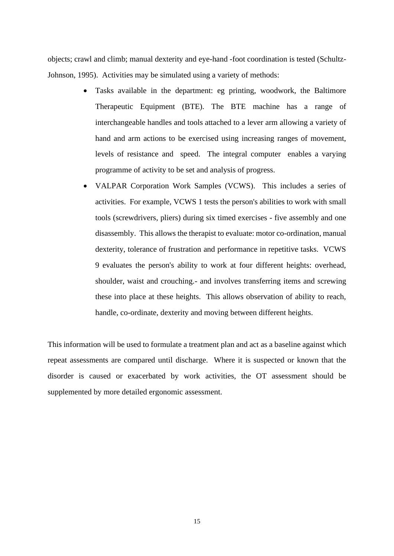objects; crawl and climb; manual dexterity and eye-hand -foot coordination is tested (Schultz-Johnson, 1995). Activities may be simulated using a variety of methods:

- Tasks available in the department: eg printing, woodwork, the Baltimore Therapeutic Equipment (BTE). The BTE machine has a range of interchangeable handles and tools attached to a lever arm allowing a variety of hand and arm actions to be exercised using increasing ranges of movement, levels of resistance and speed. The integral computer enables a varying programme of activity to be set and analysis of progress.
- VALPAR Corporation Work Samples (VCWS). This includes a series of activities. For example, VCWS 1 tests the person's abilities to work with small tools (screwdrivers, pliers) during six timed exercises - five assembly and one disassembly. This allows the therapist to evaluate: motor co-ordination, manual dexterity, tolerance of frustration and performance in repetitive tasks. VCWS 9 evaluates the person's ability to work at four different heights: overhead, shoulder, waist and crouching.- and involves transferring items and screwing these into place at these heights. This allows observation of ability to reach, handle, co-ordinate, dexterity and moving between different heights.

This information will be used to formulate a treatment plan and act as a baseline against which repeat assessments are compared until discharge. Where it is suspected or known that the disorder is caused or exacerbated by work activities, the OT assessment should be supplemented by more detailed ergonomic assessment.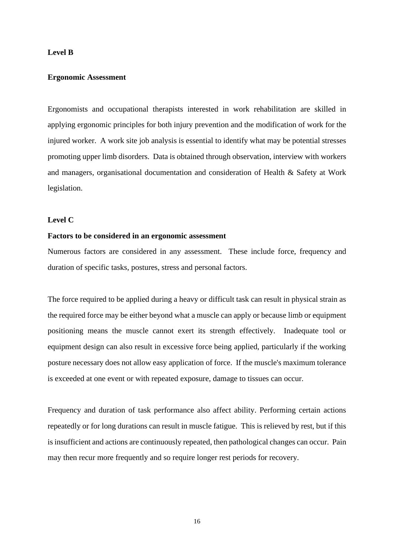#### **Level B**

#### **Ergonomic Assessment**

Ergonomists and occupational therapists interested in work rehabilitation are skilled in applying ergonomic principles for both injury prevention and the modification of work for the injured worker. A work site job analysis is essential to identify what may be potential stresses promoting upper limb disorders. Data is obtained through observation, interview with workers and managers, organisational documentation and consideration of Health & Safety at Work legislation.

# **Level C**

#### **Factors to be considered in an ergonomic assessment**

Numerous factors are considered in any assessment. These include force, frequency and duration of specific tasks, postures, stress and personal factors.

The force required to be applied during a heavy or difficult task can result in physical strain as the required force may be either beyond what a muscle can apply or because limb or equipment positioning means the muscle cannot exert its strength effectively. Inadequate tool or equipment design can also result in excessive force being applied, particularly if the working posture necessary does not allow easy application of force. If the muscle's maximum tolerance is exceeded at one event or with repeated exposure, damage to tissues can occur.

Frequency and duration of task performance also affect ability. Performing certain actions repeatedly or for long durations can result in muscle fatigue. This is relieved by rest, but if this is insufficient and actions are continuously repeated, then pathological changes can occur. Pain may then recur more frequently and so require longer rest periods for recovery.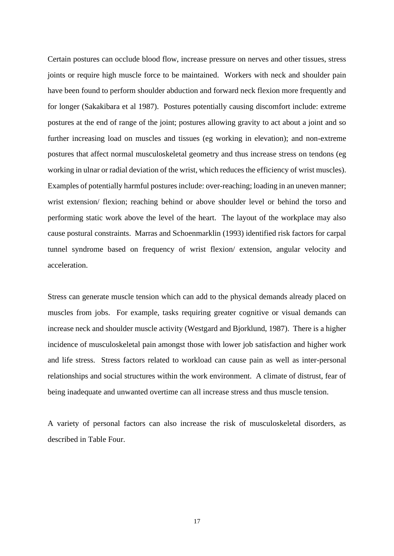Certain postures can occlude blood flow, increase pressure on nerves and other tissues, stress joints or require high muscle force to be maintained. Workers with neck and shoulder pain have been found to perform shoulder abduction and forward neck flexion more frequently and for longer (Sakakibara et al 1987). Postures potentially causing discomfort include: extreme postures at the end of range of the joint; postures allowing gravity to act about a joint and so further increasing load on muscles and tissues (eg working in elevation); and non-extreme postures that affect normal musculoskeletal geometry and thus increase stress on tendons (eg working in ulnar or radial deviation of the wrist, which reduces the efficiency of wrist muscles). Examples of potentially harmful postures include: over-reaching; loading in an uneven manner; wrist extension/ flexion; reaching behind or above shoulder level or behind the torso and performing static work above the level of the heart. The layout of the workplace may also cause postural constraints. Marras and Schoenmarklin (1993) identified risk factors for carpal tunnel syndrome based on frequency of wrist flexion/ extension, angular velocity and acceleration.

Stress can generate muscle tension which can add to the physical demands already placed on muscles from jobs. For example, tasks requiring greater cognitive or visual demands can increase neck and shoulder muscle activity (Westgard and Bjorklund, 1987). There is a higher incidence of musculoskeletal pain amongst those with lower job satisfaction and higher work and life stress. Stress factors related to workload can cause pain as well as inter-personal relationships and social structures within the work environment. A climate of distrust, fear of being inadequate and unwanted overtime can all increase stress and thus muscle tension.

A variety of personal factors can also increase the risk of musculoskeletal disorders, as described in Table Four.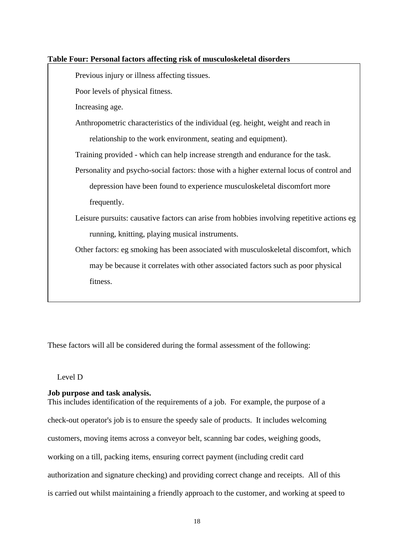# **Table Four: Personal factors affecting risk of musculoskeletal disorders**

Previous injury or illness affecting tissues.

Poor levels of physical fitness.

Increasing age.

Anthropometric characteristics of the individual (eg. height, weight and reach in relationship to the work environment, seating and equipment).

Training provided - which can help increase strength and endurance for the task.

- Personality and psycho-social factors: those with a higher external locus of control and depression have been found to experience musculoskeletal discomfort more frequently.
- Leisure pursuits: causative factors can arise from hobbies involving repetitive actions eg running, knitting, playing musical instruments.

Other factors: eg smoking has been associated with musculoskeletal discomfort, which may be because it correlates with other associated factors such as poor physical fitness.

These factors will all be considered during the formal assessment of the following:

# Level D

# **Job purpose and task analysis.**

This includes identification of the requirements of a job. For example, the purpose of a check-out operator's job is to ensure the speedy sale of products. It includes welcoming customers, moving items across a conveyor belt, scanning bar codes, weighing goods, working on a till, packing items, ensuring correct payment (including credit card authorization and signature checking) and providing correct change and receipts. All of this is carried out whilst maintaining a friendly approach to the customer, and working at speed to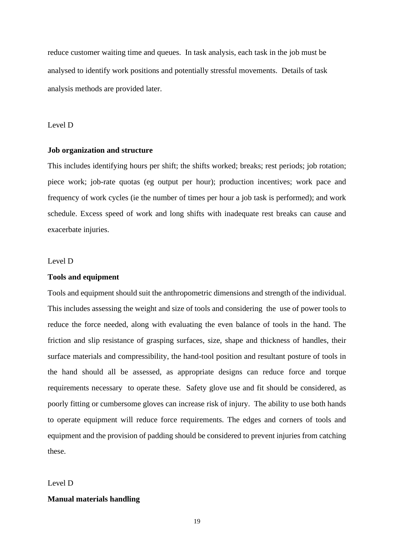reduce customer waiting time and queues. In task analysis, each task in the job must be analysed to identify work positions and potentially stressful movements. Details of task analysis methods are provided later.

#### Level D

#### **Job organization and structure**

This includes identifying hours per shift; the shifts worked; breaks; rest periods; job rotation; piece work; job-rate quotas (eg output per hour); production incentives; work pace and frequency of work cycles (ie the number of times per hour a job task is performed); and work schedule. Excess speed of work and long shifts with inadequate rest breaks can cause and exacerbate injuries.

#### Level D

#### **Tools and equipment**

Tools and equipment should suit the anthropometric dimensions and strength of the individual. This includes assessing the weight and size of tools and considering the use of power tools to reduce the force needed, along with evaluating the even balance of tools in the hand. The friction and slip resistance of grasping surfaces, size, shape and thickness of handles, their surface materials and compressibility, the hand-tool position and resultant posture of tools in the hand should all be assessed, as appropriate designs can reduce force and torque requirements necessary to operate these. Safety glove use and fit should be considered, as poorly fitting or cumbersome gloves can increase risk of injury. The ability to use both hands to operate equipment will reduce force requirements. The edges and corners of tools and equipment and the provision of padding should be considered to prevent injuries from catching these.

#### Level D

## **Manual materials handling**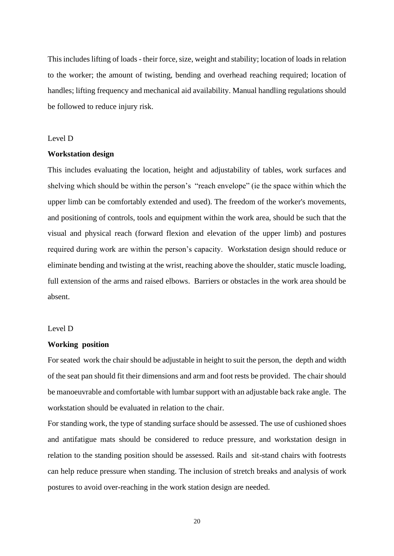This includes lifting of loads - their force, size, weight and stability; location of loads in relation to the worker; the amount of twisting, bending and overhead reaching required; location of handles; lifting frequency and mechanical aid availability. Manual handling regulations should be followed to reduce injury risk.

#### Level D

#### **Workstation design**

This includes evaluating the location, height and adjustability of tables, work surfaces and shelving which should be within the person's "reach envelope" (ie the space within which the upper limb can be comfortably extended and used). The freedom of the worker's movements, and positioning of controls, tools and equipment within the work area, should be such that the visual and physical reach (forward flexion and elevation of the upper limb) and postures required during work are within the person's capacity. Workstation design should reduce or eliminate bending and twisting at the wrist, reaching above the shoulder, static muscle loading, full extension of the arms and raised elbows. Barriers or obstacles in the work area should be absent.

#### Level D

#### **Working position**

For seated work the chair should be adjustable in height to suit the person, the depth and width of the seat pan should fit their dimensions and arm and foot rests be provided. The chair should be manoeuvrable and comfortable with lumbar support with an adjustable back rake angle. The workstation should be evaluated in relation to the chair.

For standing work, the type of standing surface should be assessed. The use of cushioned shoes and antifatigue mats should be considered to reduce pressure, and workstation design in relation to the standing position should be assessed. Rails and sit-stand chairs with footrests can help reduce pressure when standing. The inclusion of stretch breaks and analysis of work postures to avoid over-reaching in the work station design are needed.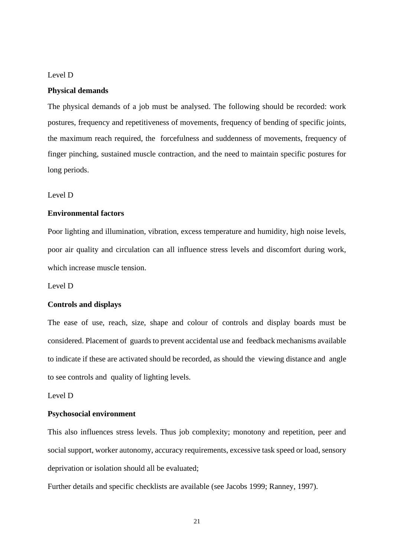#### Level D

## **Physical demands**

The physical demands of a job must be analysed. The following should be recorded: work postures, frequency and repetitiveness of movements, frequency of bending of specific joints, the maximum reach required, the forcefulness and suddenness of movements, frequency of finger pinching, sustained muscle contraction, and the need to maintain specific postures for long periods.

Level D

# **Environmental factors**

Poor lighting and illumination, vibration, excess temperature and humidity, high noise levels, poor air quality and circulation can all influence stress levels and discomfort during work, which increase muscle tension.

Level D

#### **Controls and displays**

The ease of use, reach, size, shape and colour of controls and display boards must be considered. Placement of guards to prevent accidental use and feedback mechanisms available to indicate if these are activated should be recorded, as should the viewing distance and angle to see controls and quality of lighting levels.

# Level D

#### **Psychosocial environment**

This also influences stress levels. Thus job complexity; monotony and repetition, peer and social support, worker autonomy, accuracy requirements, excessive task speed or load, sensory deprivation or isolation should all be evaluated;

Further details and specific checklists are available (see Jacobs 1999; Ranney, 1997).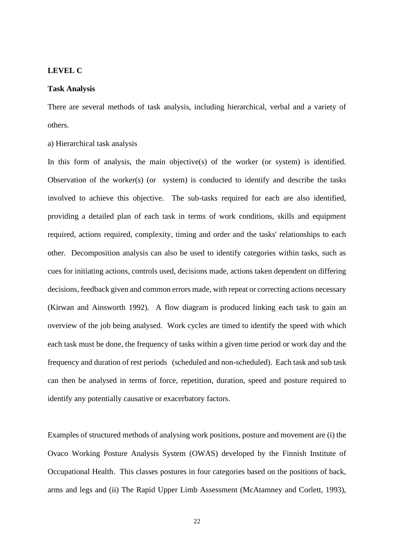#### **LEVEL C**

#### **Task Analysis**

There are several methods of task analysis, including hierarchical, verbal and a variety of others.

a) Hierarchical task analysis

In this form of analysis, the main objective(s) of the worker (or system) is identified. Observation of the worker(s) (or system) is conducted to identify and describe the tasks involved to achieve this objective. The sub-tasks required for each are also identified, providing a detailed plan of each task in terms of work conditions, skills and equipment required, actions required, complexity, timing and order and the tasks' relationships to each other. Decomposition analysis can also be used to identify categories within tasks, such as cues for initiating actions, controls used, decisions made, actions taken dependent on differing decisions, feedback given and common errors made, with repeat or correcting actions necessary (Kirwan and Ainsworth 1992). A flow diagram is produced linking each task to gain an overview of the job being analysed. Work cycles are timed to identify the speed with which each task must be done, the frequency of tasks within a given time period or work day and the frequency and duration of rest periods (scheduled and non-scheduled). Each task and sub task can then be analysed in terms of force, repetition, duration, speed and posture required to identify any potentially causative or exacerbatory factors.

Examples of structured methods of analysing work positions, posture and movement are (i) the Ovaco Working Posture Analysis System (OWAS) developed by the Finnish Institute of Occupational Health. This classes postures in four categories based on the positions of back, arms and legs and (ii) The Rapid Upper Limb Assessment (McAtamney and Corlett, 1993),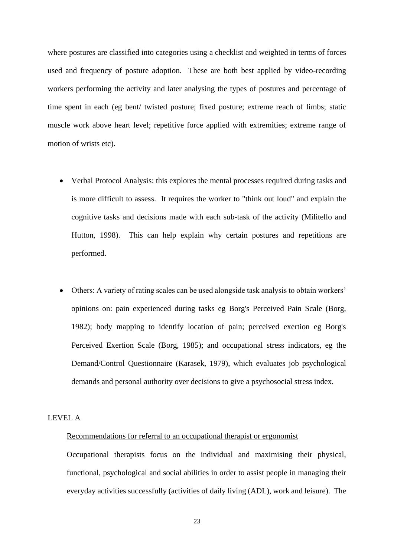where postures are classified into categories using a checklist and weighted in terms of forces used and frequency of posture adoption. These are both best applied by video-recording workers performing the activity and later analysing the types of postures and percentage of time spent in each (eg bent/ twisted posture; fixed posture; extreme reach of limbs; static muscle work above heart level; repetitive force applied with extremities; extreme range of motion of wrists etc).

- Verbal Protocol Analysis: this explores the mental processes required during tasks and is more difficult to assess. It requires the worker to "think out loud" and explain the cognitive tasks and decisions made with each sub-task of the activity (Militello and Hutton, 1998). This can help explain why certain postures and repetitions are performed.
- Others: A variety of rating scales can be used alongside task analysis to obtain workers' opinions on: pain experienced during tasks eg Borg's Perceived Pain Scale (Borg, 1982); body mapping to identify location of pain; perceived exertion eg Borg's Perceived Exertion Scale (Borg, 1985); and occupational stress indicators, eg the Demand/Control Questionnaire (Karasek, 1979), which evaluates job psychological demands and personal authority over decisions to give a psychosocial stress index.

# LEVEL A

# Recommendations for referral to an occupational therapist or ergonomist

Occupational therapists focus on the individual and maximising their physical, functional, psychological and social abilities in order to assist people in managing their everyday activities successfully (activities of daily living (ADL), work and leisure). The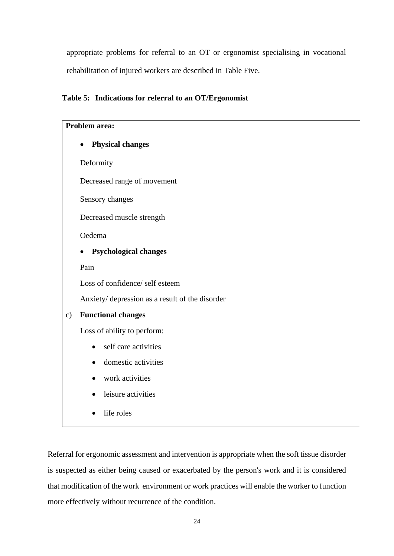appropriate problems for referral to an OT or ergonomist specialising in vocational rehabilitation of injured workers are described in Table Five.

# **Table 5: Indications for referral to an OT/Ergonomist**



Referral for ergonomic assessment and intervention is appropriate when the soft tissue disorder is suspected as either being caused or exacerbated by the person's work and it is considered that modification of the work environment or work practices will enable the worker to function more effectively without recurrence of the condition.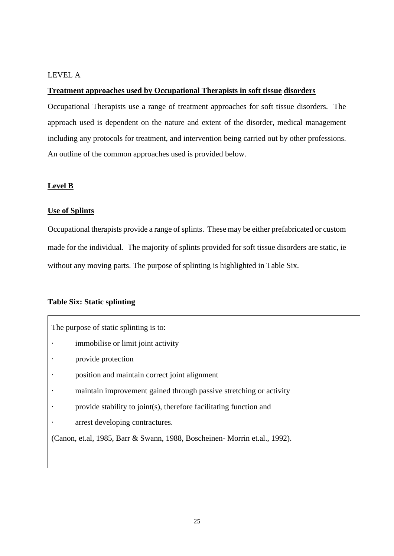# LEVEL A

# **Treatment approaches used by Occupational Therapists in soft tissue disorders**

Occupational Therapists use a range of treatment approaches for soft tissue disorders. The approach used is dependent on the nature and extent of the disorder, medical management including any protocols for treatment, and intervention being carried out by other professions. An outline of the common approaches used is provided below.

# **Level B**

# **Use of Splints**

Occupational therapists provide a range of splints. These may be either prefabricated or custom made for the individual. The majority of splints provided for soft tissue disorders are static, ie without any moving parts. The purpose of splinting is highlighted in Table Six.

# **Table Six: Static splinting**

The purpose of static splinting is to: immobilise or limit joint activity provide protection position and maintain correct joint alignment maintain improvement gained through passive stretching or activity provide stability to joint(s), therefore facilitating function and arrest developing contractures. (Canon, et.al, 1985, Barr & Swann, 1988, Boscheinen- Morrin et.al., 1992).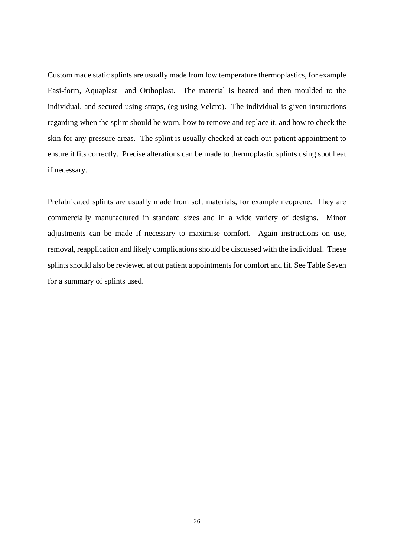Custom made static splints are usually made from low temperature thermoplastics, for example Easi-form, Aquaplast and Orthoplast. The material is heated and then moulded to the individual, and secured using straps, (eg using Velcro). The individual is given instructions regarding when the splint should be worn, how to remove and replace it, and how to check the skin for any pressure areas. The splint is usually checked at each out-patient appointment to ensure it fits correctly. Precise alterations can be made to thermoplastic splints using spot heat if necessary.

Prefabricated splints are usually made from soft materials, for example neoprene. They are commercially manufactured in standard sizes and in a wide variety of designs. Minor adjustments can be made if necessary to maximise comfort. Again instructions on use, removal, reapplication and likely complications should be discussed with the individual. These splints should also be reviewed at out patient appointments for comfort and fit. See Table Seven for a summary of splints used.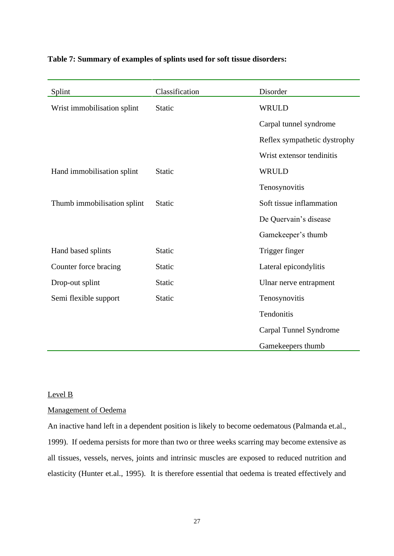| Splint                      | Classification | Disorder                     |
|-----------------------------|----------------|------------------------------|
| Wrist immobilisation splint | Static         | <b>WRULD</b>                 |
|                             |                | Carpal tunnel syndrome       |
|                             |                | Reflex sympathetic dystrophy |
|                             |                | Wrist extensor tendinitis    |
| Hand immobilisation splint  | <b>Static</b>  | <b>WRULD</b>                 |
|                             |                | Tenosynovitis                |
| Thumb immobilisation splint | Static         | Soft tissue inflammation     |
|                             |                | De Quervain's disease        |
|                             |                | Gamekeeper's thumb           |
| Hand based splints          | <b>Static</b>  | Trigger finger               |
| Counter force bracing       | <b>Static</b>  | Lateral epicondylitis        |
| Drop-out splint             | Static         | Ulnar nerve entrapment       |
| Semi flexible support       | <b>Static</b>  | Tenosynovitis                |
|                             |                | Tendonitis                   |
|                             |                | Carpal Tunnel Syndrome       |
|                             |                | Gamekeepers thumb            |

# **Table 7: Summary of examples of splints used for soft tissue disorders:**

# Level B

# Management of Oedema

An inactive hand left in a dependent position is likely to become oedematous (Palmanda et.al., 1999). If oedema persists for more than two or three weeks scarring may become extensive as all tissues, vessels, nerves, joints and intrinsic muscles are exposed to reduced nutrition and elasticity (Hunter et.al., 1995). It is therefore essential that oedema is treated effectively and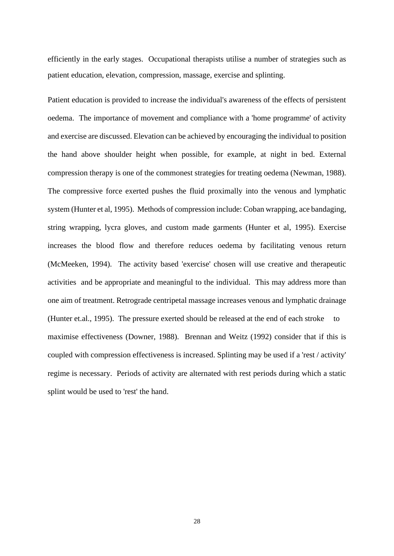efficiently in the early stages. Occupational therapists utilise a number of strategies such as patient education, elevation, compression, massage, exercise and splinting.

Patient education is provided to increase the individual's awareness of the effects of persistent oedema. The importance of movement and compliance with a 'home programme' of activity and exercise are discussed. Elevation can be achieved by encouraging the individual to position the hand above shoulder height when possible, for example, at night in bed. External compression therapy is one of the commonest strategies for treating oedema (Newman, 1988). The compressive force exerted pushes the fluid proximally into the venous and lymphatic system (Hunter et al, 1995). Methods of compression include: Coban wrapping, ace bandaging, string wrapping, lycra gloves, and custom made garments (Hunter et al, 1995). Exercise increases the blood flow and therefore reduces oedema by facilitating venous return (McMeeken, 1994). The activity based 'exercise' chosen will use creative and therapeutic activities and be appropriate and meaningful to the individual. This may address more than one aim of treatment. Retrograde centripetal massage increases venous and lymphatic drainage (Hunter et.al., 1995). The pressure exerted should be released at the end of each stroke to maximise effectiveness (Downer, 1988). Brennan and Weitz (1992) consider that if this is coupled with compression effectiveness is increased. Splinting may be used if a 'rest / activity' regime is necessary. Periods of activity are alternated with rest periods during which a static splint would be used to 'rest' the hand.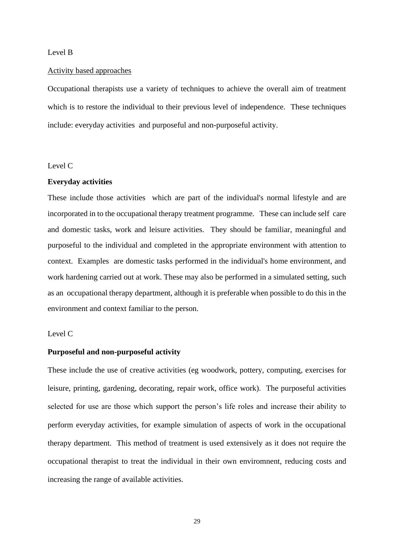#### Level B

#### Activity based approaches

Occupational therapists use a variety of techniques to achieve the overall aim of treatment which is to restore the individual to their previous level of independence. These techniques include: everyday activities and purposeful and non-purposeful activity.

# Level C

#### **Everyday activities**

These include those activities which are part of the individual's normal lifestyle and are incorporated in to the occupational therapy treatment programme. These can include self care and domestic tasks, work and leisure activities. They should be familiar, meaningful and purposeful to the individual and completed in the appropriate environment with attention to context. Examples are domestic tasks performed in the individual's home environment, and work hardening carried out at work. These may also be performed in a simulated setting, such as an occupational therapy department, although it is preferable when possible to do this in the environment and context familiar to the person.

# Level C

#### **Purposeful and non-purposeful activity**

These include the use of creative activities (eg woodwork, pottery, computing, exercises for leisure, printing, gardening, decorating, repair work, office work). The purposeful activities selected for use are those which support the person's life roles and increase their ability to perform everyday activities, for example simulation of aspects of work in the occupational therapy department. This method of treatment is used extensively as it does not require the occupational therapist to treat the individual in their own enviromnent, reducing costs and increasing the range of available activities.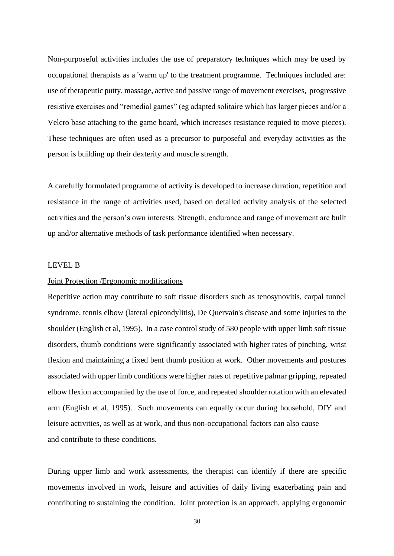Non-purposeful activities includes the use of preparatory techniques which may be used by occupational therapists as a 'warm up' to the treatment programme. Techniques included are: use of therapeutic putty, massage, active and passive range of movement exercises, progressive resistive exercises and "remedial games" (eg adapted solitaire which has larger pieces and/or a Velcro base attaching to the game board, which increases resistance requied to move pieces). These techniques are often used as a precursor to purposeful and everyday activities as the person is building up their dexterity and muscle strength.

A carefully formulated programme of activity is developed to increase duration, repetition and resistance in the range of activities used, based on detailed activity analysis of the selected activities and the person's own interests. Strength, endurance and range of movement are built up and/or alternative methods of task performance identified when necessary.

#### LEVEL B

#### Joint Protection /Ergonomic modifications

Repetitive action may contribute to soft tissue disorders such as tenosynovitis, carpal tunnel syndrome, tennis elbow (lateral epicondylitis), De Quervain's disease and some injuries to the shoulder (English et al, 1995). In a case control study of 580 people with upper limb soft tissue disorders, thumb conditions were significantly associated with higher rates of pinching, wrist flexion and maintaining a fixed bent thumb position at work. Other movements and postures associated with upper limb conditions were higher rates of repetitive palmar gripping, repeated elbow flexion accompanied by the use of force, and repeated shoulder rotation with an elevated arm (English et al, 1995). Such movements can equally occur during household, DIY and leisure activities, as well as at work, and thus non-occupational factors can also cause and contribute to these conditions.

During upper limb and work assessments, the therapist can identify if there are specific movements involved in work, leisure and activities of daily living exacerbating pain and contributing to sustaining the condition. Joint protection is an approach, applying ergonomic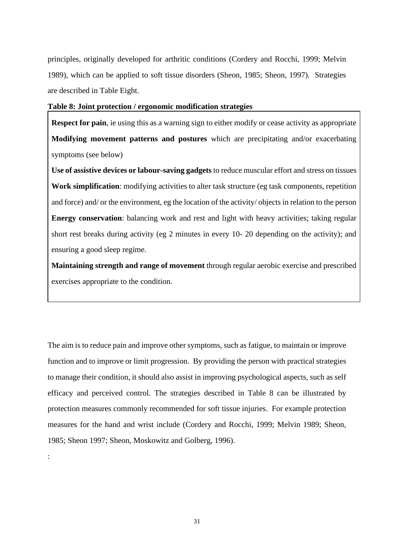principles, originally developed for arthritic conditions (Cordery and Rocchi, 1999; Melvin 1989), which can be applied to soft tissue disorders (Sheon, 1985; Sheon, 1997). Strategies are described in Table Eight.

# **Table 8: Joint protection / ergonomic modification strategies**

**Respect for pain**, ie using this as a warning sign to either modify or cease activity as appropriate **Modifying movement patterns and postures** which are precipitating and/or exacerbating symptoms (see below)

**Use of assistive devices or labour-saving gadgets** to reduce muscular effort and stress on tissues **Work simplification**: modifying activities to alter task structure (eg task components, repetition and force) and/ or the environment, eg the location of the activity/ objects in relation to the person **Energy conservation**: balancing work and rest and light with heavy activities; taking regular short rest breaks during activity (eg 2 minutes in every 10- 20 depending on the activity); and ensuring a good sleep regime.

**Maintaining strength and range of movement** through regular aerobic exercise and prescribed exercises appropriate to the condition.

The aim is to reduce pain and improve other symptoms, such as fatigue, to maintain or improve function and to improve or limit progression. By providing the person with practical strategies to manage their condition, it should also assist in improving psychological aspects, such as self efficacy and perceived control. The strategies described in Table 8 can be illustrated by protection measures commonly recommended for soft tissue injuries. For example protection measures for the hand and wrist include (Cordery and Rocchi, 1999; Melvin 1989; Sheon, 1985; Sheon 1997; Sheon, Moskowitz and Golberg, 1996).

: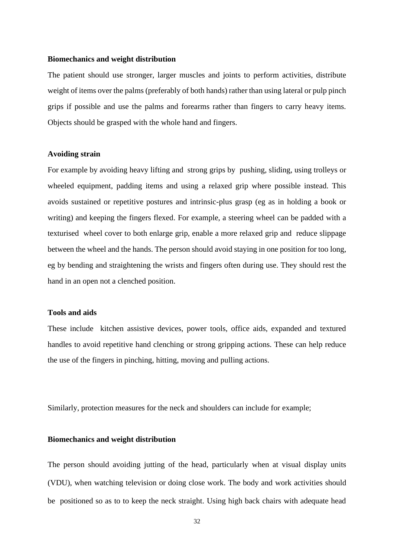#### **Biomechanics and weight distribution**

The patient should use stronger, larger muscles and joints to perform activities, distribute weight of items over the palms (preferably of both hands) rather than using lateral or pulp pinch grips if possible and use the palms and forearms rather than fingers to carry heavy items. Objects should be grasped with the whole hand and fingers.

# **Avoiding strain**

For example by avoiding heavy lifting and strong grips by pushing, sliding, using trolleys or wheeled equipment, padding items and using a relaxed grip where possible instead. This avoids sustained or repetitive postures and intrinsic-plus grasp (eg as in holding a book or writing) and keeping the fingers flexed. For example, a steering wheel can be padded with a texturised wheel cover to both enlarge grip, enable a more relaxed grip and reduce slippage between the wheel and the hands. The person should avoid staying in one position for too long, eg by bending and straightening the wrists and fingers often during use. They should rest the hand in an open not a clenched position.

#### **Tools and aids**

These include kitchen assistive devices, power tools, office aids, expanded and textured handles to avoid repetitive hand clenching or strong gripping actions. These can help reduce the use of the fingers in pinching, hitting, moving and pulling actions.

Similarly, protection measures for the neck and shoulders can include for example;

### **Biomechanics and weight distribution**

The person should avoiding jutting of the head, particularly when at visual display units (VDU), when watching television or doing close work. The body and work activities should be positioned so as to to keep the neck straight. Using high back chairs with adequate head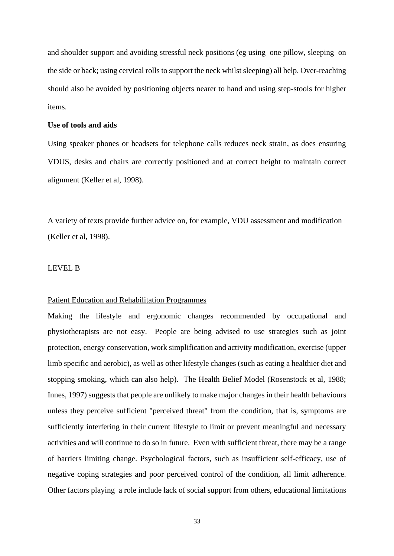and shoulder support and avoiding stressful neck positions (eg using one pillow, sleeping on the side or back; using cervical rolls to support the neck whilst sleeping) all help. Over-reaching should also be avoided by positioning objects nearer to hand and using step-stools for higher items.

### **Use of tools and aids**

Using speaker phones or headsets for telephone calls reduces neck strain, as does ensuring VDUS, desks and chairs are correctly positioned and at correct height to maintain correct alignment (Keller et al, 1998).

A variety of texts provide further advice on, for example, VDU assessment and modification (Keller et al, 1998).

#### LEVEL B

#### Patient Education and Rehabilitation Programmes

Making the lifestyle and ergonomic changes recommended by occupational and physiotherapists are not easy. People are being advised to use strategies such as joint protection, energy conservation, work simplification and activity modification, exercise (upper limb specific and aerobic), as well as other lifestyle changes (such as eating a healthier diet and stopping smoking, which can also help). The Health Belief Model (Rosenstock et al, 1988; Innes, 1997) suggests that people are unlikely to make major changes in their health behaviours unless they perceive sufficient "perceived threat" from the condition, that is, symptoms are sufficiently interfering in their current lifestyle to limit or prevent meaningful and necessary activities and will continue to do so in future. Even with sufficient threat, there may be a range of barriers limiting change. Psychological factors, such as insufficient self-efficacy, use of negative coping strategies and poor perceived control of the condition, all limit adherence. Other factors playing a role include lack of social support from others, educational limitations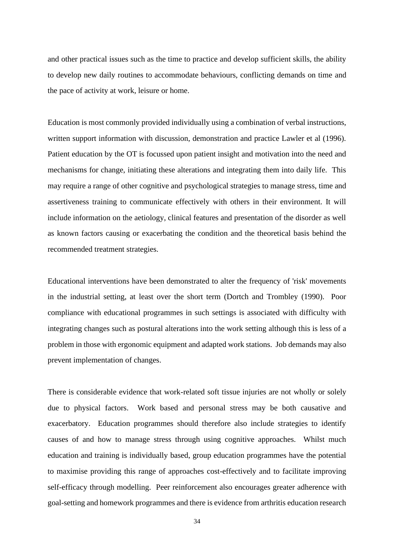and other practical issues such as the time to practice and develop sufficient skills, the ability to develop new daily routines to accommodate behaviours, conflicting demands on time and the pace of activity at work, leisure or home.

Education is most commonly provided individually using a combination of verbal instructions, written support information with discussion, demonstration and practice Lawler et al (1996). Patient education by the OT is focussed upon patient insight and motivation into the need and mechanisms for change, initiating these alterations and integrating them into daily life. This may require a range of other cognitive and psychological strategies to manage stress, time and assertiveness training to communicate effectively with others in their environment. It will include information on the aetiology, clinical features and presentation of the disorder as well as known factors causing or exacerbating the condition and the theoretical basis behind the recommended treatment strategies.

Educational interventions have been demonstrated to alter the frequency of 'risk' movements in the industrial setting, at least over the short term (Dortch and Trombley (1990). Poor compliance with educational programmes in such settings is associated with difficulty with integrating changes such as postural alterations into the work setting although this is less of a problem in those with ergonomic equipment and adapted work stations. Job demands may also prevent implementation of changes.

There is considerable evidence that work-related soft tissue injuries are not wholly or solely due to physical factors. Work based and personal stress may be both causative and exacerbatory. Education programmes should therefore also include strategies to identify causes of and how to manage stress through using cognitive approaches. Whilst much education and training is individually based, group education programmes have the potential to maximise providing this range of approaches cost-effectively and to facilitate improving self-efficacy through modelling. Peer reinforcement also encourages greater adherence with goal-setting and homework programmes and there is evidence from arthritis education research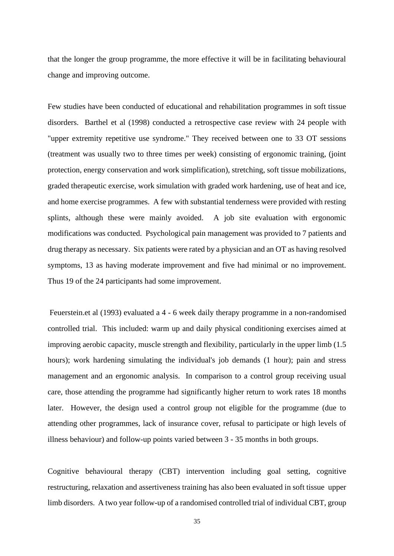that the longer the group programme, the more effective it will be in facilitating behavioural change and improving outcome.

Few studies have been conducted of educational and rehabilitation programmes in soft tissue disorders. Barthel et al (1998) conducted a retrospective case review with 24 people with "upper extremity repetitive use syndrome." They received between one to 33 OT sessions (treatment was usually two to three times per week) consisting of ergonomic training, (joint protection, energy conservation and work simplification), stretching, soft tissue mobilizations, graded therapeutic exercise, work simulation with graded work hardening, use of heat and ice, and home exercise programmes. A few with substantial tenderness were provided with resting splints, although these were mainly avoided. A job site evaluation with ergonomic modifications was conducted. Psychological pain management was provided to 7 patients and drug therapy as necessary. Six patients were rated by a physician and an OT as having resolved symptoms, 13 as having moderate improvement and five had minimal or no improvement. Thus 19 of the 24 participants had some improvement.

Feuerstein.et al (1993) evaluated a 4 - 6 week daily therapy programme in a non-randomised controlled trial. This included: warm up and daily physical conditioning exercises aimed at improving aerobic capacity, muscle strength and flexibility, particularly in the upper limb (1.5 hours); work hardening simulating the individual's job demands (1 hour); pain and stress management and an ergonomic analysis. In comparison to a control group receiving usual care, those attending the programme had significantly higher return to work rates 18 months later. However, the design used a control group not eligible for the programme (due to attending other programmes, lack of insurance cover, refusal to participate or high levels of illness behaviour) and follow-up points varied between 3 - 35 months in both groups.

Cognitive behavioural therapy (CBT) intervention including goal setting, cognitive restructuring, relaxation and assertiveness training has also been evaluated in soft tissue upper limb disorders. A two year follow-up of a randomised controlled trial of individual CBT, group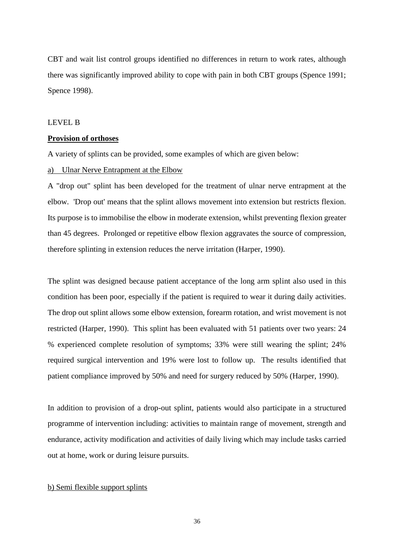CBT and wait list control groups identified no differences in return to work rates, although there was significantly improved ability to cope with pain in both CBT groups (Spence 1991; Spence 1998).

#### LEVEL B

# **Provision of orthoses**

A variety of splints can be provided, some examples of which are given below:

# a) Ulnar Nerve Entrapment at the Elbow

A "drop out" splint has been developed for the treatment of ulnar nerve entrapment at the elbow. 'Drop out' means that the splint allows movement into extension but restricts flexion. Its purpose is to immobilise the elbow in moderate extension, whilst preventing flexion greater than 45 degrees. Prolonged or repetitive elbow flexion aggravates the source of compression, therefore splinting in extension reduces the nerve irritation (Harper, 1990).

The splint was designed because patient acceptance of the long arm splint also used in this condition has been poor, especially if the patient is required to wear it during daily activities. The drop out splint allows some elbow extension, forearm rotation, and wrist movement is not restricted (Harper, 1990). This splint has been evaluated with 51 patients over two years: 24 % experienced complete resolution of symptoms; 33% were still wearing the splint; 24% required surgical intervention and 19% were lost to follow up. The results identified that patient compliance improved by 50% and need for surgery reduced by 50% (Harper, 1990).

In addition to provision of a drop-out splint, patients would also participate in a structured programme of intervention including: activities to maintain range of movement, strength and endurance, activity modification and activities of daily living which may include tasks carried out at home, work or during leisure pursuits.

# b) Semi flexible support splints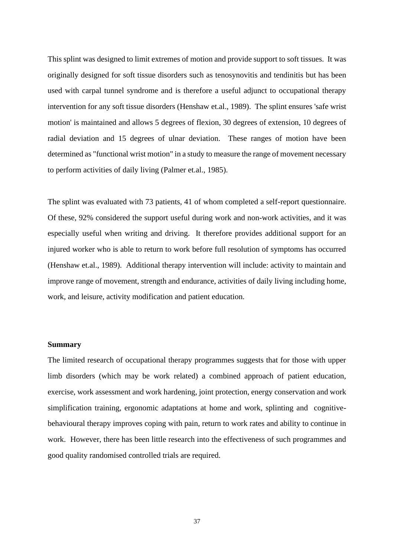This splint was designed to limit extremes of motion and provide support to soft tissues. It was originally designed for soft tissue disorders such as tenosynovitis and tendinitis but has been used with carpal tunnel syndrome and is therefore a useful adjunct to occupational therapy intervention for any soft tissue disorders (Henshaw et.al., 1989). The splint ensures 'safe wrist motion' is maintained and allows 5 degrees of flexion, 30 degrees of extension, 10 degrees of radial deviation and 15 degrees of ulnar deviation. These ranges of motion have been determined as "functional wrist motion" in a study to measure the range of movement necessary to perform activities of daily living (Palmer et.al., 1985).

The splint was evaluated with 73 patients, 41 of whom completed a self-report questionnaire. Of these, 92% considered the support useful during work and non-work activities, and it was especially useful when writing and driving. It therefore provides additional support for an injured worker who is able to return to work before full resolution of symptoms has occurred (Henshaw et.al., 1989). Additional therapy intervention will include: activity to maintain and improve range of movement, strength and endurance, activities of daily living including home, work, and leisure, activity modification and patient education.

# **Summary**

The limited research of occupational therapy programmes suggests that for those with upper limb disorders (which may be work related) a combined approach of patient education, exercise, work assessment and work hardening, joint protection, energy conservation and work simplification training, ergonomic adaptations at home and work, splinting and cognitivebehavioural therapy improves coping with pain, return to work rates and ability to continue in work. However, there has been little research into the effectiveness of such programmes and good quality randomised controlled trials are required.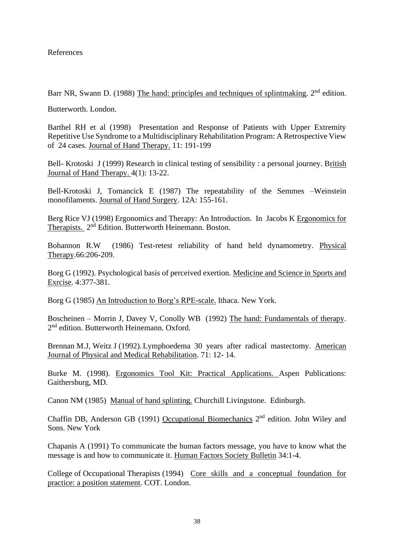# References

Barr NR, Swann D. (1988) The hand: principles and techniques of splintmaking. 2<sup>nd</sup> edition.

Butterworth. London.

Barthel RH et al (1998) Presentation and Response of Patients with Upper Extremity Repetitive Use Syndrome to a Multidisciplinary Rehabilitation Program: A Retrospective View of 24 cases. Journal of Hand Therapy. 11: 191-199

Bell- Krotoski J (1999) Research in clinical testing of sensibility : a personal journey. British Journal of Hand Therapy. 4(1): 13-22.

Bell-Krotoski J, Tomancick E (1987) The repeatability of the Semmes –Weinstein monofilaments. Journal of Hand Surgery. 12A: 155-161.

Berg Rice VJ (1998) Ergonomics and Therapy: An Introduction. In Jacobs K Ergonomics for Therapists. 2<sup>nd</sup> Edition. Butterworth Heinemann. Boston.

Bohannon R.W (1986) Test-retest reliability of hand held dynamometry. Physical Therapy.66:206-209.

Borg G (1992). Psychological basis of perceived exertion. Medicine and Science in Sports and Exrcise. 4:377-381.

Borg G (1985) An Introduction to Borg's RPE-scale. Ithaca. New York.

Boscheinen – Morrin J, Davey V, Conolly WB (1992) The hand: Fundamentals of therapy. 2<sup>nd</sup> edition. Butterworth Heinemann. Oxford.

Brennan M.J, Weitz J (1992).Lymphoedema 30 years after radical mastectomy. American Journal of Physical and Medical Rehabilitation. 71: 12- 14.

Burke M. (1998). Ergonomics Tool Kit: Practical Applications. Aspen Publications: Gaithersburg, MD.

Canon NM (1985) Manual of hand splinting. Churchill Livingstone. Edinburgh.

Chaffin DB, Anderson GB (1991) Occupational Biomechanics 2<sup>nd</sup> edition. John Wiley and Sons. New York

Chapanis A (1991) To communicate the human factors message, you have to know what the message is and how to communicate it. Human Factors Society Bulletin 34:1-4.

College of Occupational Therapists (1994) Core skills and a conceptual foundation for practice: a position statement. COT. London.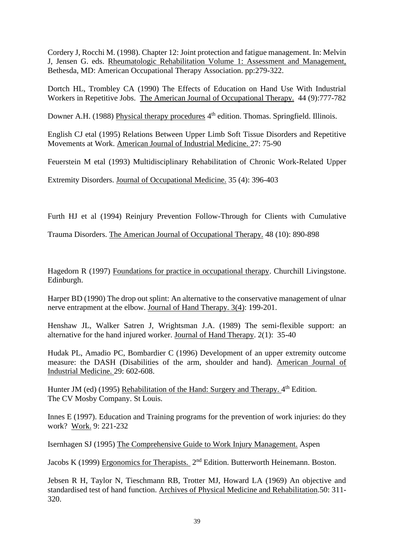Cordery J, Rocchi M. (1998). Chapter 12: Joint protection and fatigue management. In: Melvin J, Jensen G. eds. Rheumatologic Rehabilitation Volume 1: Assessment and Management, Bethesda, MD: American Occupational Therapy Association. pp:279-322.

Dortch HL, Trombley CA (1990) The Effects of Education on Hand Use With Industrial Workers in Repetitive Jobs. The American Journal of Occupational Therapy. 44 (9):777-782

Downer A.H. (1988) Physical therapy procedures 4<sup>th</sup> edition. Thomas. Springfield. Illinois.

English CJ etal (1995) Relations Between Upper Limb Soft Tissue Disorders and Repetitive Movements at Work. American Journal of Industrial Medicine. 27: 75-90

Feuerstein M etal (1993) Multidisciplinary Rehabilitation of Chronic Work-Related Upper

Extremity Disorders. Journal of Occupational Medicine. 35 (4): 396-403

Furth HJ et al (1994) Reinjury Prevention Follow-Through for Clients with Cumulative

Trauma Disorders. The American Journal of Occupational Therapy. 48 (10): 890-898

Hagedorn R (1997) Foundations for practice in occupational therapy. Churchill Livingstone. Edinburgh.

Harper BD (1990) The drop out splint: An alternative to the conservative management of ulnar nerve entrapment at the elbow. Journal of Hand Therapy. 3(4): 199-201.

Henshaw JL, Walker Satren J, Wrightsman J.A. (1989) The semi-flexible support: an alternative for the hand injured worker. Journal of Hand Therapy. 2(1): 35-40

Hudak PL, Amadio PC, Bombardier C (1996) Development of an upper extremity outcome measure: the DASH (Disabilities of the arm, shoulder and hand). American Journal of Industrial Medicine. 29: 602-608.

Hunter JM (ed) (1995) Rehabilitation of the Hand: Surgery and Therapy. 4<sup>th</sup> Edition. The CV Mosby Company. St Louis.

Innes E (1997). Education and Training programs for the prevention of work injuries: do they work? Work. 9: 221-232

Isernhagen SJ (1995) The Comprehensive Guide to Work Injury Management. Aspen

Jacobs K (1999) Ergonomics for Therapists. 2<sup>nd</sup> Edition. Butterworth Heinemann. Boston.

Jebsen R H, Taylor N, Tieschmann RB, Trotter MJ, Howard LA (1969) An objective and standardised test of hand function. Archives of Physical Medicine and Rehabilitation.50: 311- 320.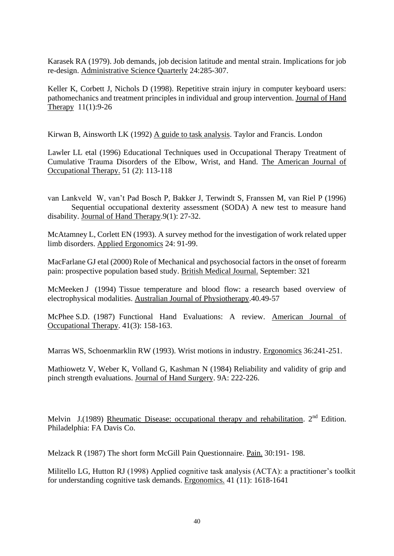Karasek RA (1979). Job demands, job decision latitude and mental strain. Implications for job re-design. Administrative Science Quarterly 24:285-307.

Keller K, Corbett J, Nichols D (1998). Repetitive strain injury in computer keyboard users: pathomechanics and treatment principles in individual and group intervention. Journal of Hand Therapy 11(1):9-26

Kirwan B, Ainsworth LK (1992) A guide to task analysis. Taylor and Francis. London

Lawler LL etal (1996) Educational Techniques used in Occupational Therapy Treatment of Cumulative Trauma Disorders of the Elbow, Wrist, and Hand. The American Journal of Occupational Therapy. 51 (2): 113-118

van Lankveld W, van't Pad Bosch P, Bakker J, Terwindt S, Franssen M, van Riel P (1996) Sequential occupational dexterity assessment (SODA) A new test to measure hand disability. Journal of Hand Therapy.9(1): 27-32.

McAtamney L, Corlett EN (1993). A survey method for the investigation of work related upper limb disorders. Applied Ergonomics 24: 91-99.

MacFarlane GJ etal (2000) Role of Mechanical and psychosocial factors in the onset of forearm pain: prospective population based study. British Medical Journal. September: 321

McMeeken J (1994) Tissue temperature and blood flow: a research based overview of electrophysical modalities. Australian Journal of Physiotherapy.40.49-57

McPhee S.D. (1987) Functional Hand Evaluations: A review. American Journal of Occupational Therapy. 41(3): 158-163.

Marras WS, Schoenmarklin RW (1993). Wrist motions in industry. Ergonomics 36:241-251.

Mathiowetz V, Weber K, Volland G, Kashman N (1984) Reliability and validity of grip and pinch strength evaluations. Journal of Hand Surgery. 9A: 222-226.

Melvin J.(1989) Rheumatic Disease: occupational therapy and rehabilitation.  $2<sup>nd</sup>$  Edition. Philadelphia: FA Davis Co.

Melzack R (1987) The short form McGill Pain Questionnaire. Pain. 30:191- 198.

Militello LG, Hutton RJ (1998) Applied cognitive task analysis (ACTA): a practitioner's toolkit for understanding cognitive task demands. Ergonomics. 41 (11): 1618-1641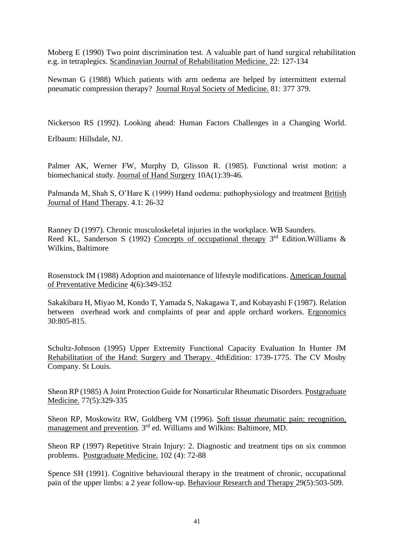Moberg E (1990) Two point discrimination test. A valuable part of hand surgical rehabilitation e.g. in tetraplegics. Scandinavian Journal of Rehabilitation Medicine. 22: 127-134

Newman G (1988) Which patients with arm oedema are helped by intermittent external pneumatic compression therapy? Journal Royal Society of Medicine. 81: 377 379.

Nickerson RS (1992). Looking ahead: Human Factors Challenges in a Changing World.

Erlbaum: Hillsdale, NJ.

Palmer AK, Werner FW, Murphy D, Glisson R. (1985). Functional wrist motion: a biomechanical study. Journal of Hand Surgery 10A(1):39-46.

Palmanda M, Shah S, O'Hare K (1999) Hand oedema: pathophysiology and treatment British Journal of Hand Therapy. 4.1: 26-32

Ranney D (1997). Chronic musculoskeletal injuries in the workplace. WB Saunders. Reed KL, Sanderson S (1992) Concepts of occupational therapy  $3<sup>rd</sup>$  Edition. Williams & Wilkins, Baltimore

Rosenstock IM (1988) Adoption and maintenance of lifestyle modifications. American Journal of Preventative Medicine 4(6):349-352

Sakakibara H, Miyao M, Kondo T, Yamada S, Nakagawa T, and Kobayashi F (1987). Relation between overhead work and complaints of pear and apple orchard workers. Ergonomics 30:805-815.

Schultz-Johnson (1995) Upper Extremity Functional Capacity Evaluation In Hunter JM Rehabilitation of the Hand: Surgery and Therapy. 4thEdition: 1739-1775. The CV Mosby Company. St Louis.

Sheon RP (1985) A Joint Protection Guide for Nonarticular Rheumatic Disorders. Postgraduate Medicine. 77(5):329-335

Sheon RP, Moskowitz RW, Goldberg VM (1996). Soft tissue rheumatic pain: recognition, management and prevention. 3rd ed. Williams and Wilkins: Baltimore, MD.

Sheon RP (1997) Repetitive Strain Injury: 2. Diagnostic and treatment tips on six common problems. Postgraduate Medicine. 102 (4): 72-88

Spence SH (1991). Cognitive behavioural therapy in the treatment of chronic, occupational pain of the upper limbs: a 2 year follow-up. Behaviour Research and Therapy 29(5):503-509.